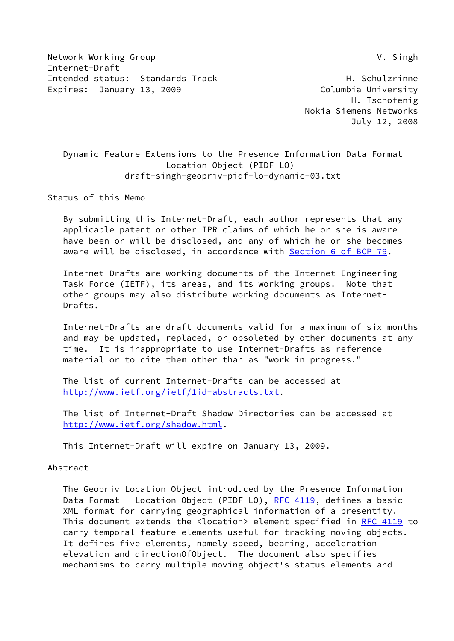Network Working Group **V. Singh** Internet-Draft Intended status: Standards Track H. Schulzrinne Expires: January 13, 2009 **Columbia University** 

 H. Tschofenig Nokia Siemens Networks July 12, 2008

 Dynamic Feature Extensions to the Presence Information Data Format Location Object (PIDF-LO) draft-singh-geopriv-pidf-lo-dynamic-03.txt

Status of this Memo

 By submitting this Internet-Draft, each author represents that any applicable patent or other IPR claims of which he or she is aware have been or will be disclosed, and any of which he or she becomes aware will be disclosed, in accordance with Section [6 of BCP 79.](https://datatracker.ietf.org/doc/pdf/bcp79#section-6)

 Internet-Drafts are working documents of the Internet Engineering Task Force (IETF), its areas, and its working groups. Note that other groups may also distribute working documents as Internet- Drafts.

 Internet-Drafts are draft documents valid for a maximum of six months and may be updated, replaced, or obsoleted by other documents at any time. It is inappropriate to use Internet-Drafts as reference material or to cite them other than as "work in progress."

 The list of current Internet-Drafts can be accessed at <http://www.ietf.org/ietf/1id-abstracts.txt>.

 The list of Internet-Draft Shadow Directories can be accessed at <http://www.ietf.org/shadow.html>.

This Internet-Draft will expire on January 13, 2009.

Abstract

 The Geopriv Location Object introduced by the Presence Information Data Format - Location Object (PIDF-LO), [RFC 4119](https://datatracker.ietf.org/doc/pdf/rfc4119), defines a basic XML format for carrying geographical information of a presentity. This document extends the <location> element specified in [RFC 4119](https://datatracker.ietf.org/doc/pdf/rfc4119) to carry temporal feature elements useful for tracking moving objects. It defines five elements, namely speed, bearing, acceleration elevation and directionOfObject. The document also specifies mechanisms to carry multiple moving object's status elements and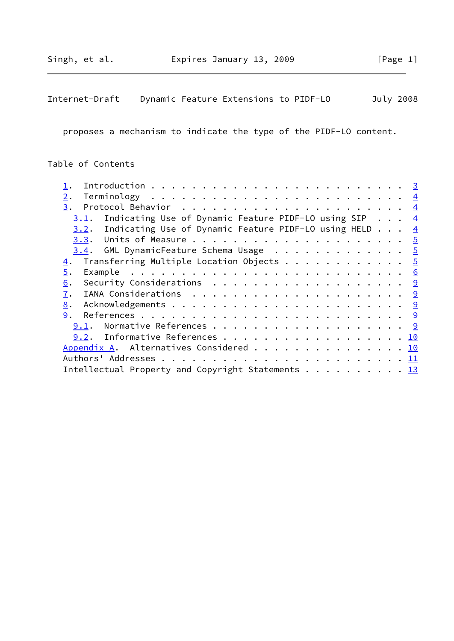Internet-Draft Dynamic Feature Extensions to PIDF-LO July 2008

proposes a mechanism to indicate the type of the PIDF-LO content.

# Table of Contents

| 2.                                                            |  |  |
|---------------------------------------------------------------|--|--|
|                                                               |  |  |
| $3.1$ . Indicating Use of Dynamic Feature PIDF-LO using SIP 4 |  |  |
| 3.2. Indicating Use of Dynamic Feature PIDF-LO using HELD $4$ |  |  |
|                                                               |  |  |
| 3.4. GML DynamicFeature Schema Usage 5                        |  |  |
| Transferring Multiple Location Objects 5<br>$\overline{4}$ .  |  |  |
| 5.                                                            |  |  |
| 6.                                                            |  |  |
| 7.                                                            |  |  |
| 8.                                                            |  |  |
|                                                               |  |  |
|                                                               |  |  |
| 9.2. Informative References 10                                |  |  |
| Appendix A. Alternatives Considered 10                        |  |  |
|                                                               |  |  |
| Intellectual Property and Copyright Statements 13             |  |  |
|                                                               |  |  |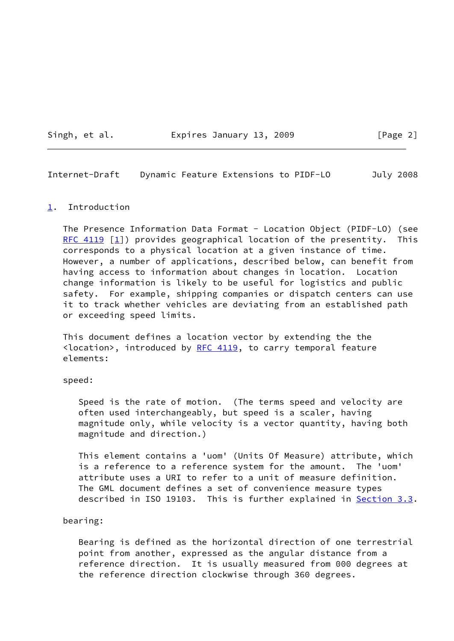Singh, et al. **Expires January 13, 2009** [Page 2]

<span id="page-2-1"></span>Internet-Draft Dynamic Feature Extensions to PIDF-LO July 2008

### <span id="page-2-0"></span>[1](#page-2-0). Introduction

 The Presence Information Data Format - Location Object (PIDF-LO) (see RFC  $4119$   $[1]$ ) provides geographical location of the presentity. This corresponds to a physical location at a given instance of time. However, a number of applications, described below, can benefit from having access to information about changes in location. Location change information is likely to be useful for logistics and public safety. For example, shipping companies or dispatch centers can use it to track whether vehicles are deviating from an established path or exceeding speed limits.

 This document defines a location vector by extending the the  $\langle$ location>, introduced by [RFC 4119](https://datatracker.ietf.org/doc/pdf/rfc4119), to carry temporal feature elements:

speed:

 Speed is the rate of motion. (The terms speed and velocity are often used interchangeably, but speed is a scaler, having magnitude only, while velocity is a vector quantity, having both magnitude and direction.)

 This element contains a 'uom' (Units Of Measure) attribute, which is a reference to a reference system for the amount. The 'uom' attribute uses a URI to refer to a unit of measure definition. The GML document defines a set of convenience measure types described in ISO 19103. This is further explained in [Section 3.3](#page-4-2).

### bearing:

 Bearing is defined as the horizontal direction of one terrestrial point from another, expressed as the angular distance from a reference direction. It is usually measured from 000 degrees at the reference direction clockwise through 360 degrees.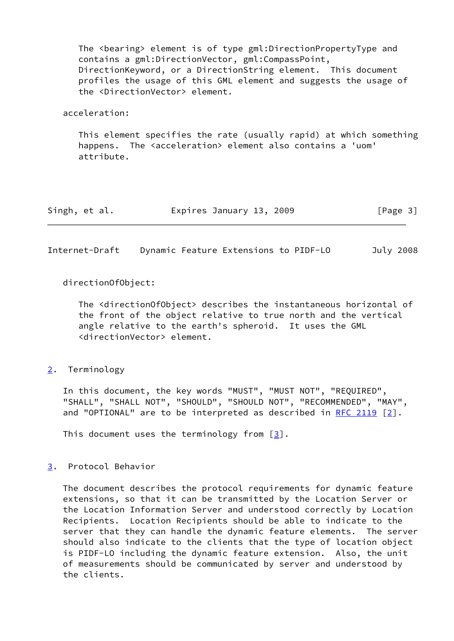The <bearing> element is of type gml:DirectionPropertyType and contains a gml:DirectionVector, gml:CompassPoint, DirectionKeyword, or a DirectionString element. This document profiles the usage of this GML element and suggests the usage of the <DirectionVector> element.

### acceleration:

 This element specifies the rate (usually rapid) at which something happens. The <acceleration> element also contains a 'uom' attribute.

| Expires January 13, 2009<br>Singh, et al. | [Page 3] |
|-------------------------------------------|----------|
|-------------------------------------------|----------|

<span id="page-3-1"></span>Internet-Draft Dynamic Feature Extensions to PIDF-LO July 2008

directionOfObject:

 The <directionOfObject> describes the instantaneous horizontal of the front of the object relative to true north and the vertical angle relative to the earth's spheroid. It uses the GML <directionVector> element.

## <span id="page-3-0"></span>[2](#page-3-0). Terminology

 In this document, the key words "MUST", "MUST NOT", "REQUIRED", "SHALL", "SHALL NOT", "SHOULD", "SHOULD NOT", "RECOMMENDED", "MAY", and "OPTIONAL" are to be interpreted as described in [RFC 2119](https://datatracker.ietf.org/doc/pdf/rfc2119)  $[2]$  $[2]$ .

This document uses the terminology from  $\lceil 3 \rceil$ .

## <span id="page-3-2"></span>[3](#page-3-2). Protocol Behavior

 The document describes the protocol requirements for dynamic feature extensions, so that it can be transmitted by the Location Server or the Location Information Server and understood correctly by Location Recipients. Location Recipients should be able to indicate to the server that they can handle the dynamic feature elements. The server should also indicate to the clients that the type of location object is PIDF-LO including the dynamic feature extension. Also, the unit of measurements should be communicated by server and understood by the clients.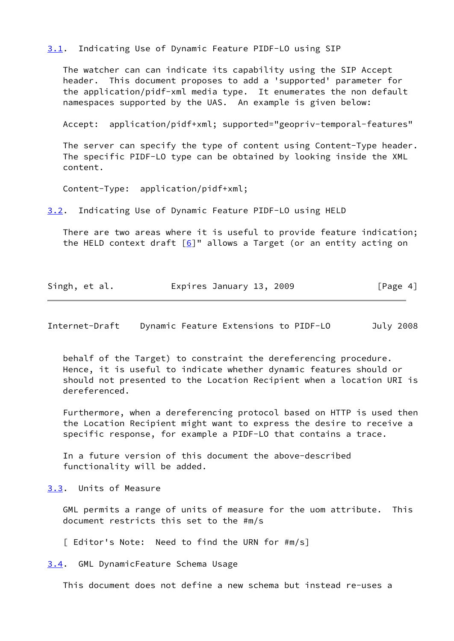<span id="page-4-0"></span>[3.1](#page-4-0). Indicating Use of Dynamic Feature PIDF-LO using SIP

 The watcher can can indicate its capability using the SIP Accept header. This document proposes to add a 'supported' parameter for the application/pidf-xml media type. It enumerates the non default namespaces supported by the UAS. An example is given below:

Accept: application/pidf+xml; supported="geopriv-temporal-features"

 The server can specify the type of content using Content-Type header. The specific PIDF-LO type can be obtained by looking inside the XML content.

Content-Type: application/pidf+xml;

<span id="page-4-1"></span>[3.2](#page-4-1). Indicating Use of Dynamic Feature PIDF-LO using HELD

 There are two areas where it is useful to provide feature indication; the HELD context draft  $[6]$  $[6]$ " allows a Target (or an entity acting on

| Singh, et al. | Expires January 13, 2009 | [Page 4] |
|---------------|--------------------------|----------|
|---------------|--------------------------|----------|

<span id="page-4-3"></span>Internet-Draft Dynamic Feature Extensions to PIDF-LO July 2008

 behalf of the Target) to constraint the dereferencing procedure. Hence, it is useful to indicate whether dynamic features should or should not presented to the Location Recipient when a location URI is dereferenced.

 Furthermore, when a dereferencing protocol based on HTTP is used then the Location Recipient might want to express the desire to receive a specific response, for example a PIDF-LO that contains a trace.

 In a future version of this document the above-described functionality will be added.

<span id="page-4-2"></span>[3.3](#page-4-2). Units of Measure

 GML permits a range of units of measure for the uom attribute. This document restricts this set to the #m/s

[ Editor's Note: Need to find the URN for #m/s]

<span id="page-4-4"></span>[3.4](#page-4-4). GML DynamicFeature Schema Usage

This document does not define a new schema but instead re-uses a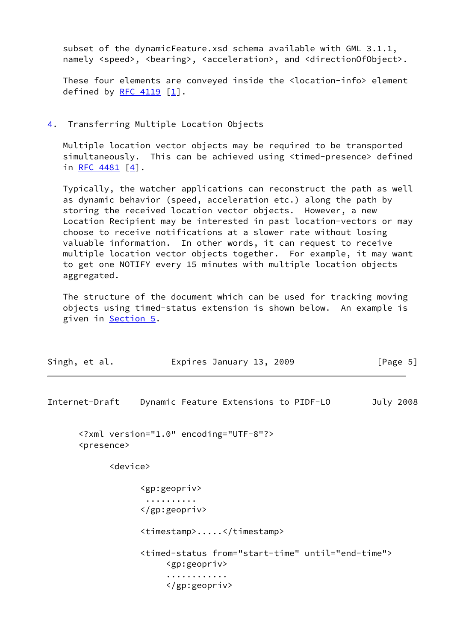subset of the dynamicFeature.xsd schema available with GML  $3.1.1$ , namely <speed>, <br/>bearing>, <acceleration>, and <directionOfObject>.

 These four elements are conveyed inside the <location-info> element defined by [RFC 4119](https://datatracker.ietf.org/doc/pdf/rfc4119)  $\lceil 1 \rceil$ .

### <span id="page-5-0"></span>[4](#page-5-0). Transferring Multiple Location Objects

 Multiple location vector objects may be required to be transported simultaneously. This can be achieved using <timed-presence> defined in RFC  $4481$   $[4]$  $[4]$ .

 Typically, the watcher applications can reconstruct the path as well as dynamic behavior (speed, acceleration etc.) along the path by storing the received location vector objects. However, a new Location Recipient may be interested in past location-vectors or may choose to receive notifications at a slower rate without losing valuable information. In other words, it can request to receive multiple location vector objects together. For example, it may want to get one NOTIFY every 15 minutes with multiple location objects aggregated.

 The structure of the document which can be used for tracking moving objects using timed-status extension is shown below. An example is given in **Section 5.** 

| Singh, et al. | Expires January 13, 2009 | [Page 5] |
|---------------|--------------------------|----------|
|---------------|--------------------------|----------|

<span id="page-5-1"></span>Internet-Draft Dynamic Feature Extensions to PIDF-LO July 2008

 <?xml version="1.0" encoding="UTF-8"?> <presence>

<device>

```
 <gp:geopriv>
 ..........
 </gp:geopriv>
 <timestamp>.....</timestamp>
 <timed-status from="start-time" until="end-time">
      <gp:geopriv>
      ............
      </gp:geopriv>
```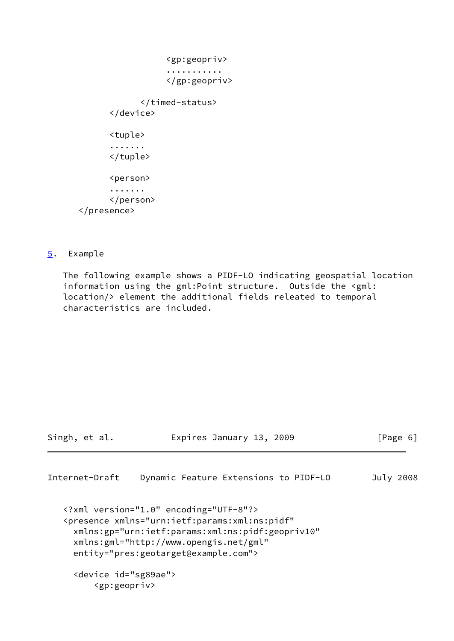```
 <gp:geopriv>
                     ...........
                     </gp:geopriv>
               </timed-status>
        </device>
        <tuple>
        .......
        </tuple>
       <person>
        .......
        </person>
 </presence>
```
<span id="page-6-0"></span>[5](#page-6-0). Example

 The following example shows a PIDF-LO indicating geospatial location information using the gml:Point structure. Outside the <gml: location/> element the additional fields releated to temporal characteristics are included.

Singh, et al. **Expires January 13, 2009** [Page 6]

Internet-Draft Dynamic Feature Extensions to PIDF-LO July 2008

```
 <?xml version="1.0" encoding="UTF-8"?>
 <presence xmlns="urn:ietf:params:xml:ns:pidf"
  xmlns:gp="urn:ietf:params:xml:ns:pidf:geopriv10"
  xmlns:gml="http://www.opengis.net/gml"
  entity="pres:geotarget@example.com">
  <device id="sg89ae">
```

```
 <gp:geopriv>
```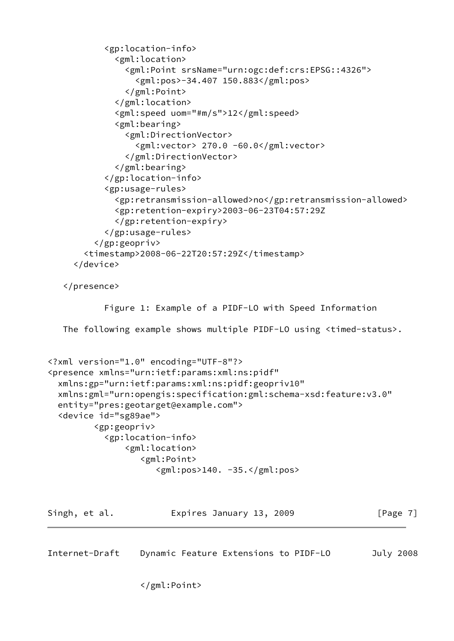```
 <gp:location-info>
              <gml:location>
                <gml:Point srsName="urn:ogc:def:crs:EPSG::4326">
                  <gml:pos>-34.407 150.883</gml:pos>
                </gml:Point>
              </gml:location>
              <gml:speed uom="#m/s">12</gml:speed>
              <gml:bearing>
                <gml:DirectionVector>
                  <gml:vector> 270.0 -60.0</gml:vector>
                </gml:DirectionVector>
              </gml:bearing>
            </gp:location-info>
            <gp:usage-rules>
              <gp:retransmission-allowed>no</gp:retransmission-allowed>
              <gp:retention-expiry>2003-06-23T04:57:29Z
              </gp:retention-expiry>
            </gp:usage-rules>
          </gp:geopriv>
        <timestamp>2008-06-22T20:57:29Z</timestamp>
      </device>
    </presence>
            Figure 1: Example of a PIDF-LO with Speed Information
   The following example shows multiple PIDF-LO using <timed-status>.
<?xml version="1.0" encoding="UTF-8"?>
<presence xmlns="urn:ietf:params:xml:ns:pidf"
   xmlns:gp="urn:ietf:params:xml:ns:pidf:geopriv10"
   xmlns:gml="urn:opengis:specification:gml:schema-xsd:feature:v3.0"
   entity="pres:geotarget@example.com">
   <device id="sg89ae">
          <gp:geopriv>
            <gp:location-info>
                <gml:location>
                   <gml:Point>
                      <gml:pos>140. -35.</gml:pos>
Singh, et al. Expires January 13, 2009 [Page 7]
Internet-Draft Dynamic Feature Extensions to PIDF-LO July 2008
```
</gml:Point>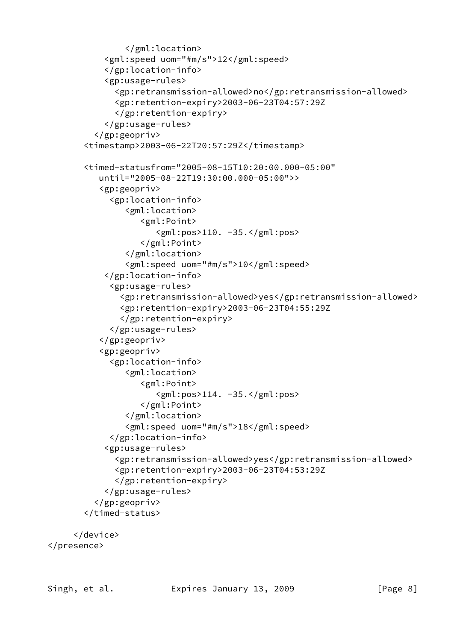```
 </gml:location>
            <gml:speed uom="#m/s">12</gml:speed>
            </gp:location-info>
            <gp:usage-rules>
               <gp:retransmission-allowed>no</gp:retransmission-allowed>
               <gp:retention-expiry>2003-06-23T04:57:29Z
               </gp:retention-expiry>
            </gp:usage-rules>
          </gp:geopriv>
        <timestamp>2003-06-22T20:57:29Z</timestamp>
        <timed-statusfrom="2005-08-15T10:20:00.000-05:00"
           until="2005-08-22T19:30:00.000-05:00">>
           <gp:geopriv>
             <gp:location-info>
                 <gml:location>
                    <gml:Point>
                       <gml:pos>110. -35.</gml:pos>
                    </gml:Point>
                 </gml:location>
                 <gml:speed uom="#m/s">10</gml:speed>
            </gp:location-info>
              <gp:usage-rules>
                <gp:retransmission-allowed>yes</gp:retransmission-allowed>
                <gp:retention-expiry>2003-06-23T04:55:29Z
                </gp:retention-expiry>
              </gp:usage-rules>
           </gp:geopriv>
           <gp:geopriv>
             <gp:location-info>
                 <gml:location>
                    <gml:Point>
                       <gml:pos>114. -35.</gml:pos>
                    </gml:Point>
                 </gml:location>
                 <gml:speed uom="#m/s">18</gml:speed>
              </gp:location-info>
            <gp:usage-rules>
               <gp:retransmission-allowed>yes</gp:retransmission-allowed>
               <gp:retention-expiry>2003-06-23T04:53:29Z
               </gp:retention-expiry>
            </gp:usage-rules>
          </gp:geopriv>
        </timed-status>
      </device>
</presence>
```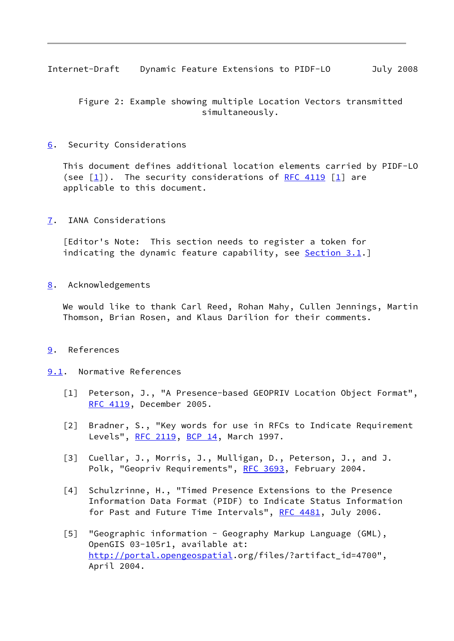<span id="page-9-1"></span>Internet-Draft Dynamic Feature Extensions to PIDF-LO July 2008

 Figure 2: Example showing multiple Location Vectors transmitted simultaneously.

## <span id="page-9-0"></span>[6](#page-9-0). Security Considerations

 This document defines additional location elements carried by PIDF-LO (see  $\lceil 1 \rceil$ ). The security considerations of [RFC 4119](https://datatracker.ietf.org/doc/pdf/rfc4119)  $\lceil 1 \rceil$  are applicable to this document.

## <span id="page-9-2"></span>[7](#page-9-2). IANA Considerations

 [Editor's Note: This section needs to register a token for indicating the dynamic feature capability, see [Section 3.1](#page-4-0).

## <span id="page-9-3"></span>[8](#page-9-3). Acknowledgements

 We would like to thank Carl Reed, Rohan Mahy, Cullen Jennings, Martin Thomson, Brian Rosen, and Klaus Darilion for their comments.

## <span id="page-9-4"></span>[9](#page-9-4). References

## <span id="page-9-5"></span>[9.1](#page-9-5). Normative References

- <span id="page-9-6"></span>[1] Peterson, J., "A Presence-based GEOPRIV Location Object Format", [RFC 4119](https://datatracker.ietf.org/doc/pdf/rfc4119), December 2005.
- <span id="page-9-7"></span> [2] Bradner, S., "Key words for use in RFCs to Indicate Requirement Levels", [RFC 2119](https://datatracker.ietf.org/doc/pdf/rfc2119), [BCP 14](https://datatracker.ietf.org/doc/pdf/bcp14), March 1997.
- <span id="page-9-8"></span> [3] Cuellar, J., Morris, J., Mulligan, D., Peterson, J., and J. Polk, "Geopriv Requirements", [RFC 3693,](https://datatracker.ietf.org/doc/pdf/rfc3693) February 2004.
- <span id="page-9-9"></span> [4] Schulzrinne, H., "Timed Presence Extensions to the Presence Information Data Format (PIDF) to Indicate Status Information for Past and Future Time Intervals", [RFC 4481](https://datatracker.ietf.org/doc/pdf/rfc4481), July 2006.
- [5] "Geographic information Geography Markup Language (GML), OpenGIS 03-105r1, available at: <http://portal.opengeospatial>.org/files/?artifact\_id=4700", April 2004.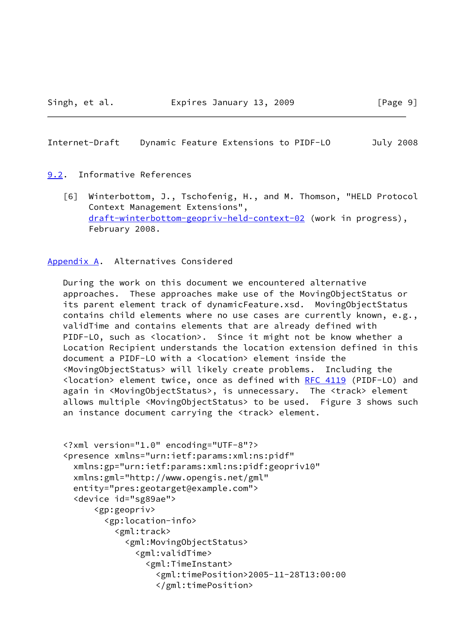#### <span id="page-10-1"></span>Internet-Draft Dynamic Feature Extensions to PIDF-LO July 2008

## <span id="page-10-0"></span>[9.2](#page-10-0). Informative References

<span id="page-10-3"></span> [6] Winterbottom, J., Tschofenig, H., and M. Thomson, "HELD Protocol Context Management Extensions", [draft-winterbottom-geopriv-held-context-02](https://datatracker.ietf.org/doc/pdf/draft-winterbottom-geopriv-held-context-02) (work in progress), February 2008.

# <span id="page-10-2"></span>[Appendix A.](#page-10-2) Alternatives Considered

 During the work on this document we encountered alternative approaches. These approaches make use of the MovingObjectStatus or its parent element track of dynamicFeature.xsd. MovingObjectStatus contains child elements where no use cases are currently known, e.g., validTime and contains elements that are already defined with PIDF-LO, such as <location>. Since it might not be know whether a Location Recipient understands the location extension defined in this document a PIDF-LO with a <location> element inside the <MovingObjectStatus> will likely create problems. Including the <location> element twice, once as defined with [RFC 4119](https://datatracker.ietf.org/doc/pdf/rfc4119) (PIDF-LO) and again in <MovingObjectStatus>, is unnecessary. The <track> element allows multiple <MovingObjectStatus> to be used. Figure 3 shows such an instance document carrying the <track> element.

```
 <?xml version="1.0" encoding="UTF-8"?>
 <presence xmlns="urn:ietf:params:xml:ns:pidf"
   xmlns:gp="urn:ietf:params:xml:ns:pidf:geopriv10"
  xmlns:gml="http://www.opengis.net/gml"
   entity="pres:geotarget@example.com">
   <device id="sg89ae">
       <gp:geopriv>
         <gp:location-info>
           <gml:track>
             <gml:MovingObjectStatus>
               <gml:validTime>
                 <gml:TimeInstant>
                   <gml:timePosition>2005-11-28T13:00:00
                   </gml:timePosition>
```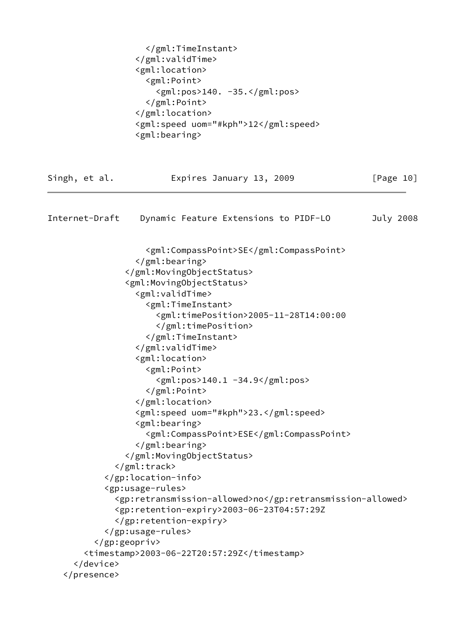<span id="page-11-0"></span>

|                | <br><br><gml:location><br/><gml:point><br/><math>\langle</math>gml:pos&gt;140. -35.<math>\langle</math>/gml:pos&gt;<br/></gml:point><br/></gml:location><br><gml:speed uom="#kph">12</gml:speed><br><gml:bearing></gml:bearing>                                                                                                                                                                                                                                                                                                                                                                                                                                                              |           |
|----------------|----------------------------------------------------------------------------------------------------------------------------------------------------------------------------------------------------------------------------------------------------------------------------------------------------------------------------------------------------------------------------------------------------------------------------------------------------------------------------------------------------------------------------------------------------------------------------------------------------------------------------------------------------------------------------------------------|-----------|
| Singh, et al.  | Expires January 13, 2009                                                                                                                                                                                                                                                                                                                                                                                                                                                                                                                                                                                                                                                                     | [Page 10] |
| Internet-Draft | Dynamic Feature Extensions to PIDF-LO                                                                                                                                                                                                                                                                                                                                                                                                                                                                                                                                                                                                                                                        | July 2008 |
|                | <gml:compasspoint>SE</gml:compasspoint><br><br><br><gml:movingobjectstatus><br/><gml:validtime><br/><gml:timeinstant><br/><gml:timeposition>2005-11-28T14:00:00<br/></gml:timeposition><br/></gml:timeinstant><br/></gml:validtime><br/><gml:location><br/><gml:point><br/><gml:pos>140.1 -34.9</gml:pos><br/></gml:point><br/></gml:location><br/><gml:speed uom="#kph">23.</gml:speed><br/><gml:bearing><br/><gml:compasspoint>ESE</gml:compasspoint><br/></gml:bearing><br/></gml:movingobjectstatus><br><br><br><gp:usage-rules><br/><gp:retransmission-allowed>no</gp:retransmission-allowed><br/><gp:retention-expiry>2003-06-23T04:57:29Z<br/></gp:retention-expiry></gp:usage-rules> |           |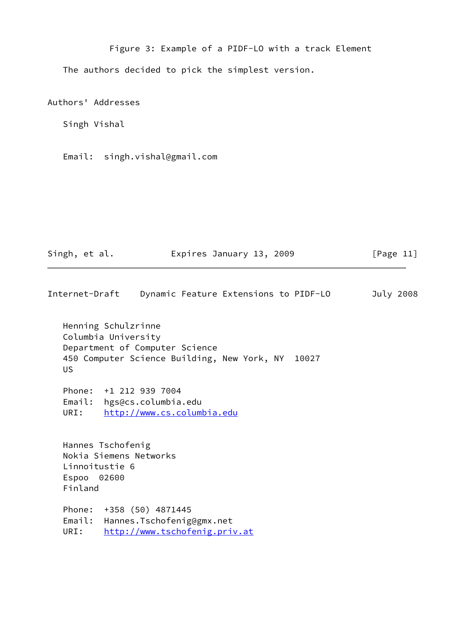Figure 3: Example of a PIDF-LO with a track Element The authors decided to pick the simplest version.

Authors' Addresses

Singh Vishal

Email: singh.vishal@gmail.com

Singh, et al. Expires January 13, 2009 [Page 11]

Internet-Draft Dynamic Feature Extensions to PIDF-LO July 2008

 Henning Schulzrinne Columbia University Department of Computer Science 450 Computer Science Building, New York, NY 10027 US

 Phone: +1 212 939 7004 Email: hgs@cs.columbia.edu URI: <http://www.cs.columbia.edu>

 Hannes Tschofenig Nokia Siemens Networks Linnoitustie 6 Espoo 02600 Finland

 Phone: +358 (50) 4871445 Email: Hannes.Tschofenig@gmx.net URI: <http://www.tschofenig.priv.at>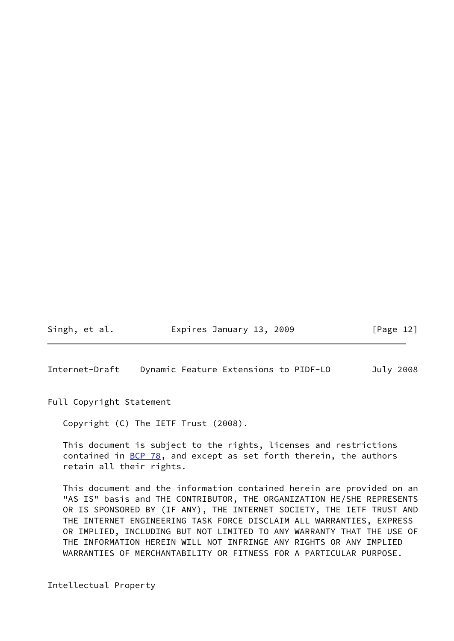Singh, et al. **Expires January 13, 2009** [Page 12]

<span id="page-13-0"></span>Internet-Draft Dynamic Feature Extensions to PIDF-LO July 2008

Full Copyright Statement

Copyright (C) The IETF Trust (2008).

 This document is subject to the rights, licenses and restrictions contained in  $BCP$  78, and except as set forth therein, the authors retain all their rights.

 This document and the information contained herein are provided on an "AS IS" basis and THE CONTRIBUTOR, THE ORGANIZATION HE/SHE REPRESENTS OR IS SPONSORED BY (IF ANY), THE INTERNET SOCIETY, THE IETF TRUST AND THE INTERNET ENGINEERING TASK FORCE DISCLAIM ALL WARRANTIES, EXPRESS OR IMPLIED, INCLUDING BUT NOT LIMITED TO ANY WARRANTY THAT THE USE OF THE INFORMATION HEREIN WILL NOT INFRINGE ANY RIGHTS OR ANY IMPLIED WARRANTIES OF MERCHANTABILITY OR FITNESS FOR A PARTICULAR PURPOSE.

Intellectual Property